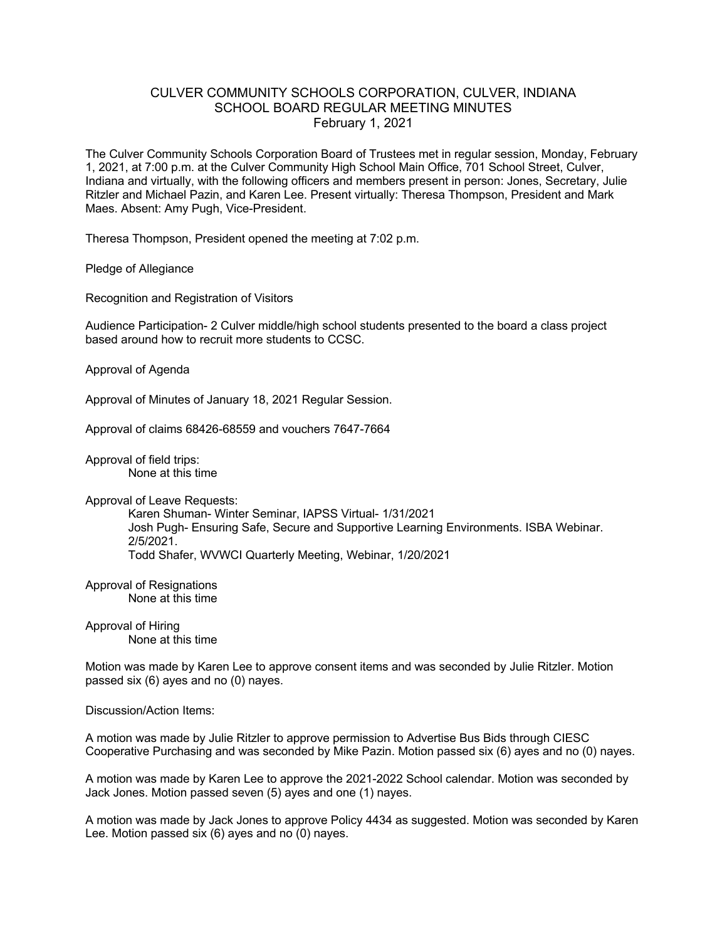## CULVER COMMUNITY SCHOOLS CORPORATION, CULVER, INDIANA SCHOOL BOARD REGULAR MEETING MINUTES February 1, 2021

The Culver Community Schools Corporation Board of Trustees met in regular session, Monday, February 1, 2021, at 7:00 p.m. at the Culver Community High School Main Office, 701 School Street, Culver, Indiana and virtually, with the following officers and members present in person: Jones, Secretary, Julie Ritzler and Michael Pazin, and Karen Lee. Present virtually: Theresa Thompson, President and Mark Maes. Absent: Amy Pugh, Vice-President.

Theresa Thompson, President opened the meeting at 7:02 p.m.

Pledge of Allegiance

Recognition and Registration of Visitors

Audience Participation- 2 Culver middle/high school students presented to the board a class project based around how to recruit more students to CCSC.

Approval of Agenda

Approval of Minutes of January 18, 2021 Regular Session.

Approval of claims 68426-68559 and vouchers 7647-7664

Approval of field trips: None at this time

Approval of Leave Requests:

Karen Shuman- Winter Seminar, IAPSS Virtual- 1/31/2021 Josh Pugh- Ensuring Safe, Secure and Supportive Learning Environments. ISBA Webinar. 2/5/2021. Todd Shafer, WVWCI Quarterly Meeting, Webinar, 1/20/2021

Approval of Resignations None at this time

Approval of Hiring None at this time

Motion was made by Karen Lee to approve consent items and was seconded by Julie Ritzler. Motion passed six (6) ayes and no (0) nayes.

Discussion/Action Items:

A motion was made by Julie Ritzler to approve permission to Advertise Bus Bids through CIESC Cooperative Purchasing and was seconded by Mike Pazin. Motion passed six (6) ayes and no (0) nayes.

A motion was made by Karen Lee to approve the 2021-2022 School calendar. Motion was seconded by Jack Jones. Motion passed seven (5) ayes and one (1) nayes.

A motion was made by Jack Jones to approve Policy 4434 as suggested. Motion was seconded by Karen Lee. Motion passed six (6) ayes and no (0) nayes.